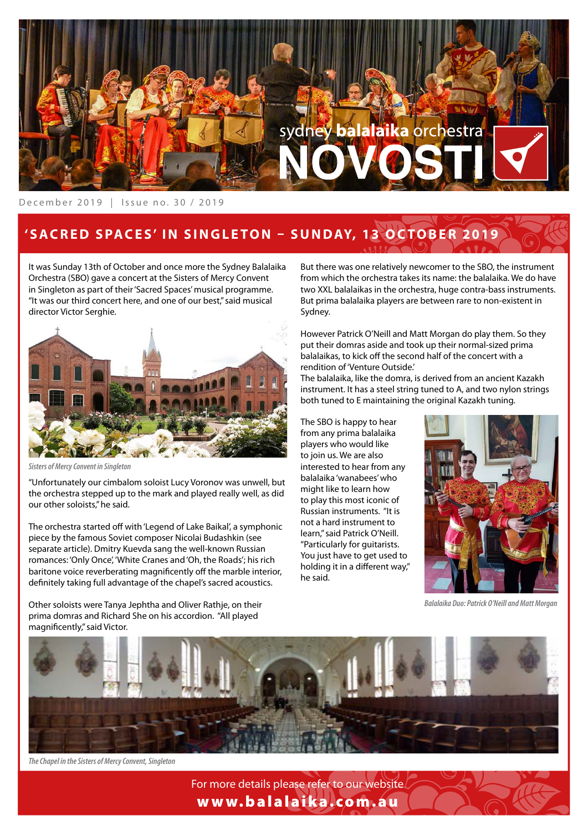

### December 2019 | Issue no. 30 / 2019

# 'SACRED SPACES' IN SINGLETON **-** SUNDAY, 13 OCTOBER 2019

It was Sunday 13th of October and once more the Sydney Balalaika Orchestra (SBO) gave a concert at the Sisters of Mercy Convent in Singleton as part of their 'Sacred Spaces' musical programme. "It was our third concert here, and one of our best," said musical director Victor Serghie.



*Sisters of Mercy Convent in Singleton*

"Unfortunately our cimbalom soloist Lucy Voronov was unwell, but the orchestra stepped up to the mark and played really well, as did our other soloists," he said.

The orchestra started off with 'Legend of Lake Baikal', a symphonic piece by the famous Soviet composer Nicolai Budashkin (see separate article). Dmitry Kuevda sang the well-known Russian romances: 'Only Once', 'White Cranes and 'Oh, the Roads'; his rich baritone voice reverberating magnificently off the marble interior. defnitely taking full advantage of the chapel's sacred acoustics.

Other soloists were Tanya Jephtha and Oliver Rathje, on their prima domras and Richard She on his accordion. "All played magnifcently," said Victor.

But there was one relatively newcomer to the SBO, the instrument from which the orchestra takes its name: the balalaika. We do have two XXL balalaikas in the orchestra, huge contra-bass instruments. But prima balalaika players are between rare to non-existent in Sydney.

However Patrick O'Neill and Matt Morgan do play them. So they put their domras aside and took up their normal-sized prima balalaikas, to kick off the second half of the concert with a rendition of 'Venture Outside.'

The balalaika, like the domra, is derived from an ancient Kazakh instrument. It has a steel string tuned to A, and two nylon strings both tuned to E maintaining the original Kazakh tuning.

The SBO is happy to hear from any prima balalaika players who would like to join us. We are also interested to hear from any balalaika 'wanabees' who might like to learn how to play this most iconic of Russian instruments. "It is not a hard instrument to learn," said Patrick O'Neill. "Particularly for guitarists. You just have to get used to holding it in a different way," he said.



*Balalaika Duo: Patrick O'Neill and Matt Morgan*



*The Chapel in the Sisters of Mercy Convent, Singleton*

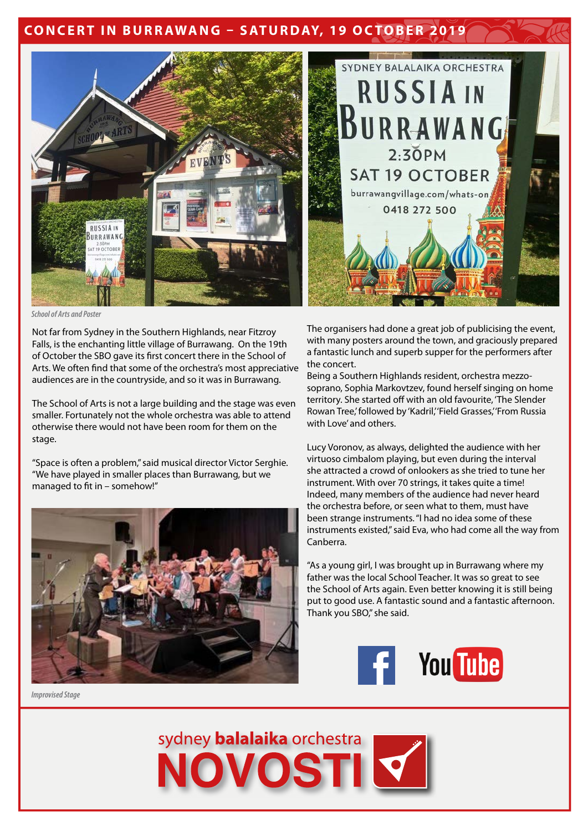## **CONCERT IN BURRAWANG - SATURDAY, 19 OCTOBER 2019**



*School of Arts and Poster*

Not far from Sydney in the Southern Highlands, near Fitzroy Falls, is the enchanting little village of Burrawang. On the 19th of October the SBO gave its frst concert there in the School of Arts. We often fnd that some of the orchestra's most appreciative audiences are in the countryside, and so it was in Burrawang.

The School of Arts is not a large building and the stage was even smaller. Fortunately not the whole orchestra was able to attend otherwise there would not have been room for them on the stage.

"Space is often a problem," said musical director Victor Serghie. "We have played in smaller places than Burrawang, but we managed to fit in - somehow!"



*Improvised Stage*

The organisers had done a great job of publicising the event, with many posters around the town, and graciously prepared a fantastic lunch and superb supper for the performers after the concert.

Being a Southern Highlands resident, orchestra mezzosoprano, Sophia Markovtzev, found herself singing on home territory. She started off with an old favourite, 'The Slender Rowan Tree,' followed by 'Kadril,' 'Field Grasses,' 'From Russia with Love' and others.

Lucy Voronov, as always, delighted the audience with her virtuoso cimbalom playing, but even during the interval she attracted a crowd of onlookers as she tried to tune her instrument. With over 70 strings, it takes quite a time! Indeed, many members of the audience had never heard the orchestra before, or seen what to them, must have been strange instruments. "I had no idea some of these instruments existed," said Eva, who had come all the way from Canberra.

"As a young girl, I was brought up in Burrawang where my father was the local School Teacher. It was so great to see the School of Arts again. Even better knowing it is still being put to good use. A fantastic sound and a fantastic afternoon. Thank you SBO," she said.



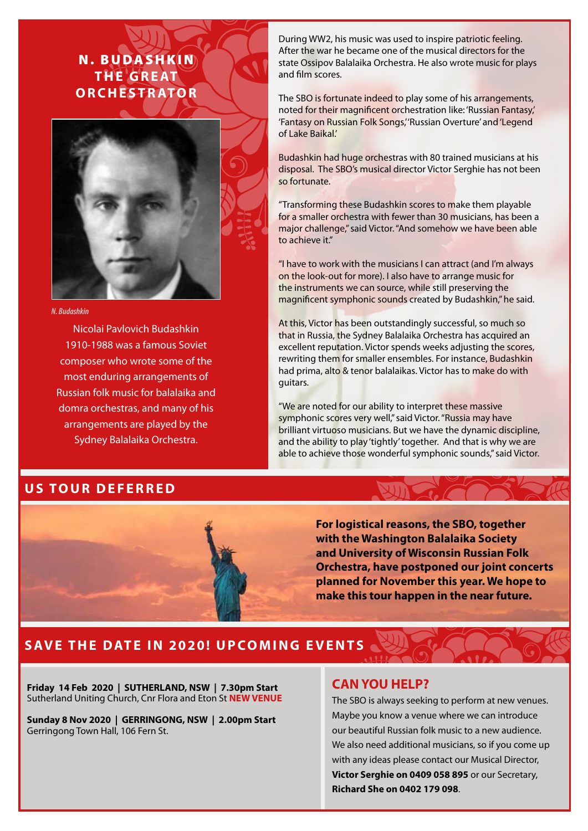# N. BUDASHKIN **T H E G R E AT ORCHESTRATOR**



#### *N. Budashkin*

Nicolai Pavlovich Budashkin 1910-1988 was a famous Soviet composer who wrote some of the most enduring arrangements of Russian folk music for balalaika and domra orchestras, and many of his arrangements are played by the Sydney Balalaika Orchestra.

### **US TOUR DEFERRED**

During WW2, his music was used to inspire patriotic feeling. After the war he became one of the musical directors for the state Ossipov Balalaika Orchestra. He also wrote music for plays and flm scores.

The SBO is fortunate indeed to play some of his arrangements, noted for their magnifcent orchestration like: 'Russian Fantasy,' 'Fantasy on Russian Folk Songs,' 'Russian Overture' and 'Legend of Lake Baikal.'

Budashkin had huge orchestras with 80 trained musicians at his disposal. The SBO's musical director Victor Serghie has not been so fortunate.

"Transforming these Budashkin scores to make them playable for a smaller orchestra with fewer than 30 musicians, has been a major challenge," said Victor. "And somehow we have been able to achieve it."

"I have to work with the musicians I can attract (and I'm always on the look-out for more). I also have to arrange music for the instruments we can source, while still preserving the magnifcent symphonic sounds created by Budashkin," he said.

At this, Victor has been outstandingly successful, so much so that in Russia, the Sydney Balalaika Orchestra has acquired an excellent reputation. Victor spends weeks adjusting the scores, rewriting them for smaller ensembles. For instance, Budashkin had prima, alto & tenor balalaikas. Victor has to make do with guitars.

"We are noted for our ability to interpret these massive symphonic scores very well," said Victor. "Russia may have brilliant virtuoso musicians. But we have the dynamic discipline, and the ability to play 'tightly' together. And that is why we are able to achieve those wonderful symphonic sounds," said Victor.

> **For logistical reasons, the SBO, together with the Washington Balalaika Society and University of Wisconsin Russian Folk Orchestra, have postponed our joint concerts planned for November this year. We hope to make this tour happen in the near future.**

## **SAVE THE DATE IN 2020! UPCOMING EVENTS**

**Friday 14 Feb 2020 | SUTHERLAND, NSW | 7.30pm Start** Sutherland Uniting Church, Cnr Flora and Eton St **NEW VENUE**

**Sunday 8 Nov 2020 | GERRINGONG, NSW | 2.00pm Start** Gerringong Town Hall, 106 Fern St.

### **CAN YOU HELP?**

The SBO is always seeking to perform at new venues. Maybe you know a venue where we can introduce our beautiful Russian folk music to a new audience. We also need additional musicians, so if you come up with any ideas please contact our Musical Director, **Victor Serghie on 0409 058 895** or our Secretary, **Richard She on 0402 179 098**.